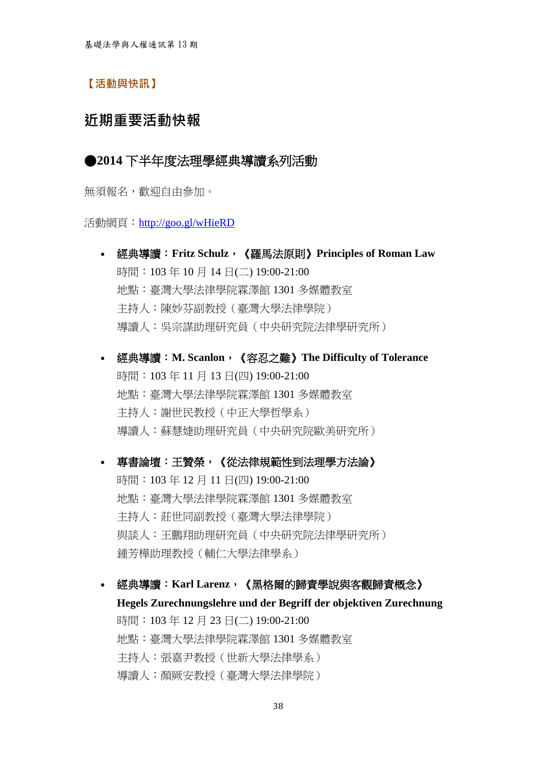【活動與快訊】

## 近期重要活動快報

#### ●**2014** [下半年度法理學經典導讀系列活動](http://taplblog.wordpress.com/2014/09/15/2014%e4%b8%8b%e5%8d%8a%e5%b9%b4%e5%ba%a6%e7%b6%93%e5%85%b8%e5%b0%8e%e8%ae%80%e7%b3%bb%e5%88%97%e6%b4%bb%e5%8b%95/)

無須報名,歡迎自由參加。

活動網頁: <http://goo.gl/wHieRD>

- 經典導讀:**Fritz Schulz**,《羅馬法原則》**Principles of Roman Law** 時間:103年10月14日(二)19:00-21:00 地點:臺灣大學法律學院霖澤館 1301 多媒體教室 主持人:陳妙芬副教授(臺灣大學法律學院) 導讀人:吳宗謀助理研究員(中央研究院法律學研究所)
- 經典導讀:**M. Scanlon**,《容忍之難》**The Difficulty of Tolerance** 時間:103年11月13日(四)19:00-21:00 地點:臺灣大學法律學院霖澤館 1301 多媒體教室 主持人:謝世民教授(中正大學哲學系) 導讀人:蘇慧婕助理研究員(中央研究院歐美研究所)

 專書論壇:王贊榮,《從法律規範性到法理學方法論》 時間:103年12月11日(四) 19:00-21:00 地點:臺灣大學法律學院霖澤館 1301 多媒體教室 主持人:莊世同副教授(臺灣大學法律學院) 與談人:王鵬翔助理研究員(中央研究院法律學研究所) 鍾芳樺助理教授(輔仁大學法律學系)

經典導讀:**Karl Larenz**,《黑格爾的歸責學說與客觀歸責概念》

**Hegels Zurechnungslehre und der Begriff der objektiven Zurechnung** 時間:103年12月23日(二)19:00-21:00 地點:臺灣大學法律學院霖澤館 1301 多媒體教室 主持人:張嘉尹教授(世新大學法律學系) 導讀人:顏厥安教授(臺灣大學法律學院)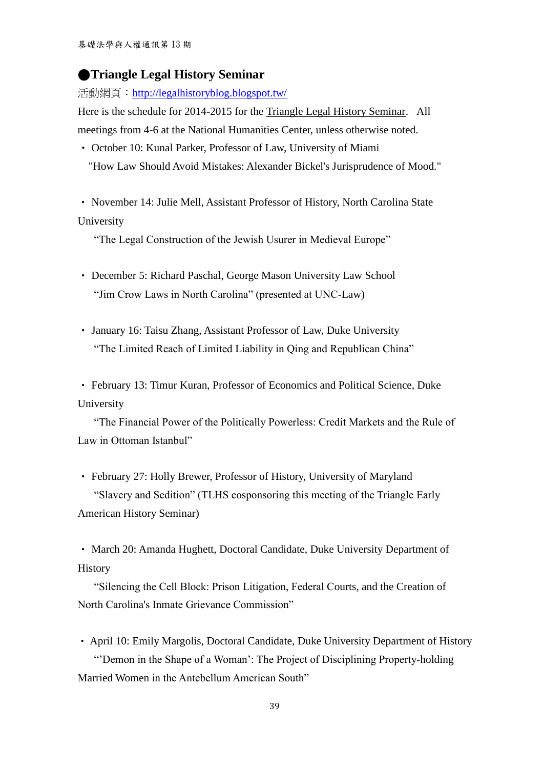#### ●**[Triangle Legal History Seminar](http://legalhistoryblog.blogspot.tw/2014/09/triangle-legal-history-seminar.html)**

活動網頁: <http://legalhistoryblog.blogspot.tw/>

Here is the schedule for 2014-2015 for the [Triangle Legal History Seminar.](http://law.duke.edu/legal_history/schedule.html) All meetings from 4-6 at the National Humanities Center, unless otherwise noted.

- ‧ October 10: Kunal Parker, Professor of Law, University of Miami
	- "How Law Should Avoid Mistakes: Alexander Bickel's Jurisprudence of Mood."
- ‧ November 14: Julie Mell, Assistant Professor of History, North Carolina State University

"The Legal Construction of the Jewish Usurer in Medieval Europe"

- ‧ December 5: Richard Paschal, George Mason University Law School "Jim Crow Laws in North Carolina" (presented at UNC-Law)
- ‧ January 16: Taisu Zhang, Assistant Professor of Law, Duke University "The Limited Reach of Limited Liability in Qing and Republican China"
- ‧ February 13: Timur Kuran, Professor of Economics and Political Science, Duke University

 "The Financial Power of the Politically Powerless: Credit Markets and the Rule of Law in Ottoman Istanbul"

‧ February 27: Holly Brewer, Professor of History, University of Maryland "Slavery and Sedition" (TLHS cosponsoring this meeting of the Triangle Early American History Seminar)

‧ March 20: Amanda Hughett, Doctoral Candidate, Duke University Department of **History** 

 "Silencing the Cell Block: Prison Litigation, Federal Courts, and the Creation of North Carolina's Inmate Grievance Commission"

‧ April 10: Emily Margolis, Doctoral Candidate, Duke University Department of History "'Demon in the Shape of a Woman': The Project of Disciplining Property-holding

Married Women in the Antebellum American South"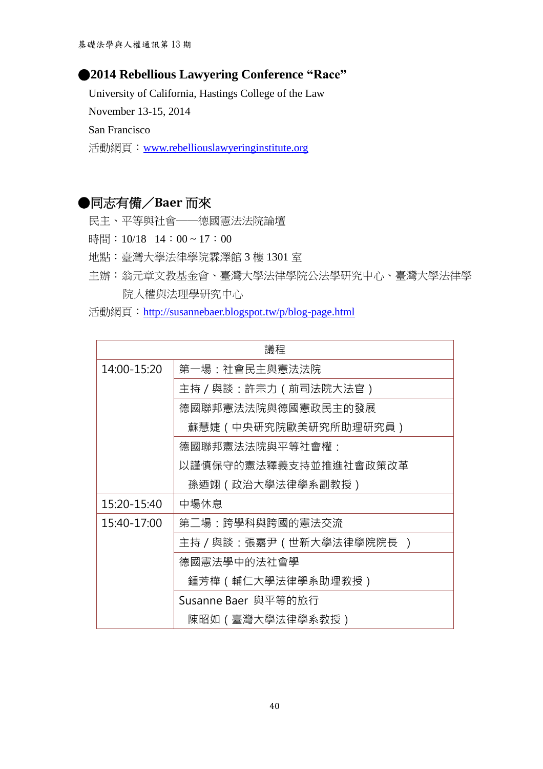#### ●**2014 Rebellious Lawyering Conference "Race"**

 University of California, Hastings College of the Law November 13-15, 2014 San Francisco 活動網頁:[www.rebelliouslawyeringinstitute.org](http://www.rebelliouslawyeringinstitute.org/)

## ●同志有備/**Baer** 而來

- 民主、平等與社會──德國憲法法院論壇
- 時間: 10/18 14:00~17:00
- 地點:臺灣大學法律學院霖澤館 3 樓 1301 室
- 主辦:翁元章文教基金會、臺灣大學法律學院公法學研究中心、臺灣大學法律學 院人權與法理學研究中心
- 活動網頁:<http://susannebaer.blogspot.tw/p/blog-page.html>

| 議程          |                         |  |  |  |
|-------------|-------------------------|--|--|--|
| 14:00-15:20 | 第一場:社會民主與憲法法院           |  |  |  |
|             | 主持 / 與談:許宗力 ( 前司法院大法官 ) |  |  |  |
|             | 德國聯邦憲法法院與德國憲政民主的發展      |  |  |  |
|             | 蘇慧婕(中央研究院歐美研究所助理研究員)    |  |  |  |
|             | 德國聯邦憲法法院與平等社會權:         |  |  |  |
|             | 以謹慎保守的憲法釋義支持並推進社會政策改革   |  |  |  |
|             | 孫迺翊(政治大學法律學系副教授)        |  |  |  |
| 15:20-15:40 | 中場休息                    |  |  |  |
| 15:40-17:00 | 第二場:跨學科與跨國的憲法交流         |  |  |  |
|             | 主持/與談:張嘉尹(世新大學法律學院院長 )  |  |  |  |
|             | 德國憲法學中的法社會學             |  |  |  |
|             | 鍾芳樺(輔仁大學法律學系助理教授)       |  |  |  |
|             | Susanne Baer 與平等的旅行     |  |  |  |
|             | 陳昭如(臺灣大學法律學系教授)         |  |  |  |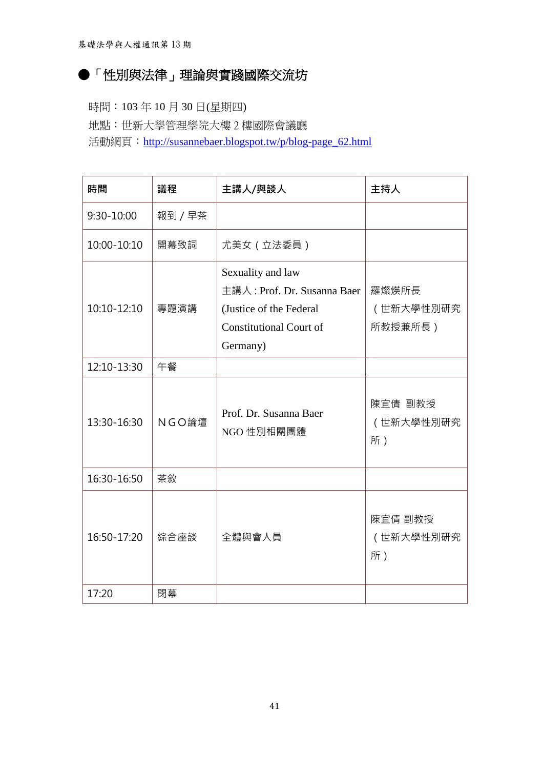# ●「性別與法律」理論與實踐國際交流坊

時間:103 年 10 月 30 日(星期四) 地點:世新大學管理學院大樓 2 樓國際會議廳 活動網頁: [http://susannebaer.blogspot.tw/p/blog-page\\_62.html](http://susannebaer.blogspot.tw/p/blog-page_62.html)

| 時間          | 議程      | 主講人/與談人                                                                                                                   | 主持人                           |
|-------------|---------|---------------------------------------------------------------------------------------------------------------------------|-------------------------------|
| 9:30-10:00  | 報到 / 早茶 |                                                                                                                           |                               |
| 10:00-10:10 | 開幕致詞    | 尤美女 (立法委員)                                                                                                                |                               |
| 10:10-12:10 | 專題演講    | Sexuality and law<br>主講人: Prof. Dr. Susanna Baer<br>(Justice of the Federal<br><b>Constitutional Court of</b><br>Germany) | 羅燦煐所長<br>(世新大學性別研究<br>所教授兼所長) |
| 12:10-13:30 | 午餐      |                                                                                                                           |                               |
| 13:30-16:30 | NGO論壇   | Prof. Dr. Susanna Baer<br>NGO 性別相關團體                                                                                      | 陳宜倩 副教授<br>(世新大學性別研究<br>所)    |
| 16:30-16:50 | 茶敘      |                                                                                                                           |                               |
| 16:50-17:20 | 綜合座談    | 全體與會人員                                                                                                                    | 陳宜倩 副教授<br>(世新大學性別研究<br>所)    |
| 17:20       | 閉幕      |                                                                                                                           |                               |